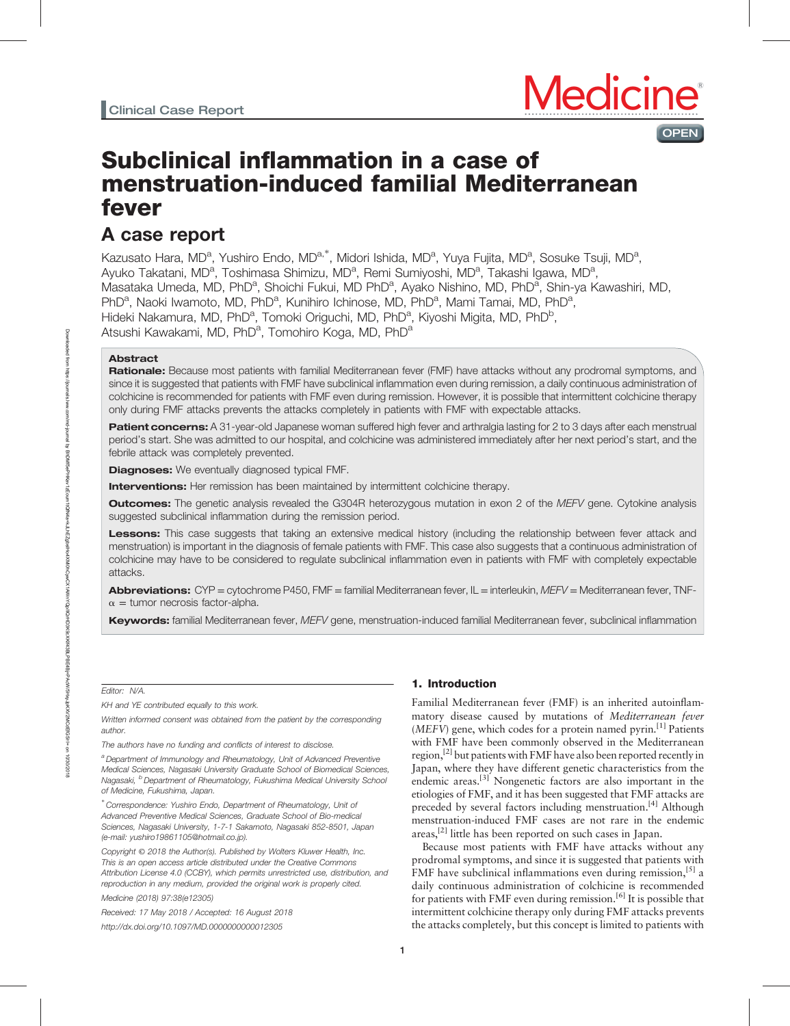# Subclinical inflammation in a case of menstruation-induced familial Mediterranean fever

# A case report

Kazusato Hara, MD<sup>a</sup>, Yushiro Endo, MD<sup>a,\*</sup>, Midori Ishida, MD<sup>a</sup>, Yuya Fujita, MD<sup>a</sup>, Sosuke Tsuji, MD<sup>a</sup>, Ayuko Takatani, MD<sup>a</sup>, Toshimasa Shimizu, MD<sup>a</sup>, Remi Sumiyoshi, MD<sup>a</sup>, Takashi Igawa, MD<sup>a</sup>, Masataka Umeda, MD, PhD<sup>a</sup>, Shoichi Fukui, MD PhD<sup>a</sup>, Ayako Nishino, MD, PhD<sup>a</sup>, Shin-ya Kawashiri, MD, PhD<sup>a</sup>, Naoki Iwamoto, MD, PhD<sup>a</sup>, Kunihiro Ichinose, MD, PhD<sup>a</sup>, Mami Tamai, MD, PhD<sup>a</sup>, Hideki Nakamura, MD, PhD<sup>a</sup>, Tomoki Origuchi, MD, PhD<sup>a</sup>, Kiyoshi Migita, MD, PhD<sup>b</sup>, Atsushi Kawakami, MD, PhD<sup>a</sup>, Tomohiro Koga, MD, PhD<sup>a</sup>

### Abstract

Rationale: Because most patients with familial Mediterranean fever (FMF) have attacks without any prodromal symptoms, and since it is suggested that patients with FMF have subclinical inflammation even during remission, a daily continuous administration of colchicine is recommended for patients with FMF even during remission. However, it is possible that intermittent colchicine therapy only during FMF attacks prevents the attacks completely in patients with FMF with expectable attacks.

Patient concerns: A 31-year-old Japanese woman suffered high fever and arthralgia lasting for 2 to 3 days after each menstrual period's start. She was admitted to our hospital, and colchicine was administered immediately after her next period's start, and the febrile attack was completely prevented.

**Diagnoses:** We eventually diagnosed typical FMF.

**Interventions:** Her remission has been maintained by intermittent colchicine therapy.

**Outcomes:** The genetic analysis revealed the G304R heterozygous mutation in exon 2 of the MEFV gene. Cytokine analysis suggested subclinical inflammation during the remission period.

Lessons: This case suggests that taking an extensive medical history (including the relationship between fever attack and menstruation) is important in the diagnosis of female patients with FMF. This case also suggests that a continuous administration of colchicine may have to be considered to regulate subclinical inflammation even in patients with FMF with completely expectable attacks.

Abbreviations: CYP = cytochrome P450, FMF = familial Mediterranean fever, IL = interleukin, MEFV = Mediterranean fever, TNF- $\alpha$  = tumor necrosis factor-alpha.

Keywords: familial Mediterranean fever, MEFV gene, menstruation-induced familial Mediterranean fever, subclinical inflammation

Editor: N/A.

KH and YE contributed equally to this work.

Written informed consent was obtained from the patient by the corresponding author.

The authors have no funding and conflicts of interest to disclose.

a Department of Immunology and Rheumatology, Unit of Advanced Preventive Medical Sciences, Nagasaki University Graduate School of Biomedical Sciences, Nagasaki, <sup>b</sup> Department of Rheumatology, Fukushima Medical University School of Medicine, Fukushima, Japan.

∗ Correspondence: Yushiro Endo, Department of Rheumatology, Unit of Advanced Preventive Medical Sciences, Graduate School of Bio-medical Sciences, Nagasaki University, 1-7-1 Sakamoto, Nagasaki 852-8501, Japan (e-mail: [yushiro19861105@hotmail.co.jp](mailto:yushiro19861105@hotmail.co.jp)).

Copyright © 2018 the Author(s). Published by Wolters Kluwer Health, Inc. This is an open access article distributed under the [Creative Commons](http://creativecommons.org/licenses/by/4.0) [Attribution License 4.0](http://creativecommons.org/licenses/by/4.0) (CCBY), which permits unrestricted use, distribution, and reproduction in any medium, provided the original work is properly cited.

Medicine (2018) 97:38(e12305)

Received: 17 May 2018 / Accepted: 16 August 2018 <http://dx.doi.org/10.1097/MD.0000000000012305>

## 1. Introduction

Familial Mediterranean fever (FMF) is an inherited autoinflammatory disease caused by mutations of Mediterranean fever  $(MEFV)$  gene, which codes for a protein named pyrin.<sup>[1]</sup> Patients with FMF have been commonly observed in the Mediterranean region,<sup>[2]</sup> but patients with FMF have also been reported recently in Japan, where they have different genetic characteristics from the endemic areas.<sup>[3]</sup> Nongenetic factors are also important in the etiologies of FMF, and it has been suggested that FMF attacks are preceded by several factors including menstruation.<sup>[4]</sup> Although menstruation-induced FMF cases are not rare in the endemic areas,<sup>[2]</sup> little has been reported on such cases in Japan.

**OPEN** 

Because most patients with FMF have attacks without any prodromal symptoms, and since it is suggested that patients with FMF have subclinical inflammations even during remission,  $\left[5\right]$  a daily continuous administration of colchicine is recommended for patients with FMF even during remission.<sup>[6]</sup> It is possible that intermittent colchicine therapy only during FMF attacks prevents the attacks completely, but this concept is limited to patients with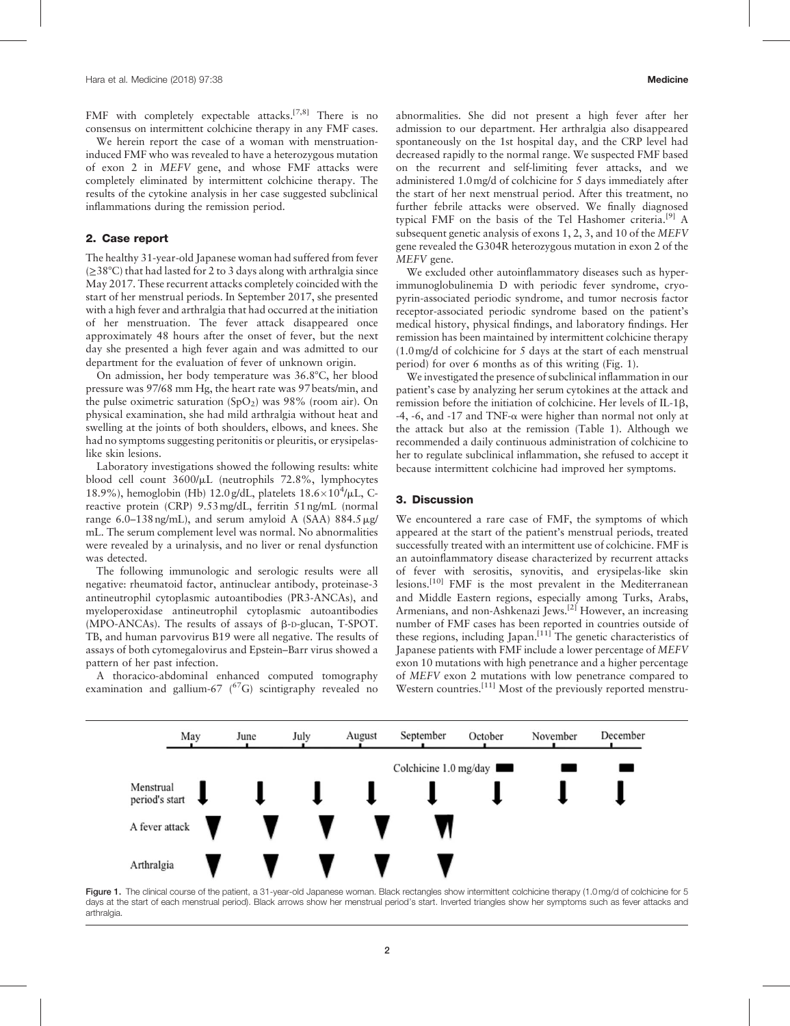FMF with completely expectable attacks.<sup>[7,8]</sup> There is no consensus on intermittent colchicine therapy in any FMF cases.

We herein report the case of a woman with menstruationinduced FMF who was revealed to have a heterozygous mutation of exon 2 in MEFV gene, and whose FMF attacks were completely eliminated by intermittent colchicine therapy. The results of the cytokine analysis in her case suggested subclinical inflammations during the remission period.

#### 2. Case report

The healthy 31-year-old Japanese woman had suffered from fever (≥38°C) that had lasted for 2 to 3 days along with arthralgia since May 2017. These recurrent attacks completely coincided with the start of her menstrual periods. In September 2017, she presented with a high fever and arthralgia that had occurred at the initiation of her menstruation. The fever attack disappeared once approximately 48 hours after the onset of fever, but the next day she presented a high fever again and was admitted to our department for the evaluation of fever of unknown origin.

On admission, her body temperature was 36.8°C, her blood pressure was 97/68 mm Hg, the heart rate was 97 beats/min, and the pulse oximetric saturation  $(SpO<sub>2</sub>)$  was 98% (room air). On physical examination, she had mild arthralgia without heat and swelling at the joints of both shoulders, elbows, and knees. She had no symptoms suggesting peritonitis or pleuritis, or erysipelaslike skin lesions.

Laboratory investigations showed the following results: white blood cell count  $3600/\mu$ L (neutrophils 72.8%, lymphocytes 18.9%), hemoglobin (Hb) 12.0 g/dL, platelets  $18.6 \times 10^4$ / $\mu$ L, Creactive protein (CRP) 9.53mg/dL, ferritin 51 ng/mL (normal range 6.0–138 ng/mL), and serum amyloid A (SAA) 884.5  $\mu$ g/ mL. The serum complement level was normal. No abnormalities were revealed by a urinalysis, and no liver or renal dysfunction was detected.

The following immunologic and serologic results were all negative: rheumatoid factor, antinuclear antibody, proteinase-3 antineutrophil cytoplasmic autoantibodies (PR3-ANCAs), and myeloperoxidase antineutrophil cytoplasmic autoantibodies (MPO-ANCAs). The results of assays of b-D-glucan, T-SPOT. TB, and human parvovirus B19 were all negative. The results of assays of both cytomegalovirus and Epstein–Barr virus showed a pattern of her past infection.

A thoracico-abdominal enhanced computed tomography examination and gallium-67  $(^{67}G)$  scintigraphy revealed no

abnormalities. She did not present a high fever after her admission to our department. Her arthralgia also disappeared spontaneously on the 1st hospital day, and the CRP level had decreased rapidly to the normal range. We suspected FMF based on the recurrent and self-limiting fever attacks, and we administered 1.0mg/d of colchicine for 5 days immediately after the start of her next menstrual period. After this treatment, no further febrile attacks were observed. We finally diagnosed typical FMF on the basis of the Tel Hashomer criteria.<sup>[9]</sup> A subsequent genetic analysis of exons 1, 2, 3, and 10 of the MEFV gene revealed the G304R heterozygous mutation in exon 2 of the MEFV gene.

We excluded other autoinflammatory diseases such as hyperimmunoglobulinemia D with periodic fever syndrome, cryopyrin-associated periodic syndrome, and tumor necrosis factor receptor-associated periodic syndrome based on the patient's medical history, physical findings, and laboratory findings. Her remission has been maintained by intermittent colchicine therapy (1.0mg/d of colchicine for 5 days at the start of each menstrual period) for over 6 months as of this writing (Fig. 1).

We investigated the presence of subclinical inflammation in our patient's case by analyzing her serum cytokines at the attack and remission before the initiation of colchicine. Her levels of IL-1b,  $-4$ ,  $-6$ , and  $-17$  and TNF- $\alpha$  were higher than normal not only at the attack but also at the remission (Table 1). Although we recommended a daily continuous administration of colchicine to her to regulate subclinical inflammation, she refused to accept it because intermittent colchicine had improved her symptoms.

#### 3. Discussion

We encountered a rare case of FMF, the symptoms of which appeared at the start of the patient's menstrual periods, treated successfully treated with an intermittent use of colchicine. FMF is an autoinflammatory disease characterized by recurrent attacks of fever with serositis, synovitis, and erysipelas-like skin lesions.[10] FMF is the most prevalent in the Mediterranean and Middle Eastern regions, especially among Turks, Arabs, Armenians, and non-Ashkenazi Jews.[2] However, an increasing number of FMF cases has been reported in countries outside of these regions, including Japan.<sup>[11]</sup> The genetic characteristics of Japanese patients with FMF include a lower percentage of MEFV exon 10 mutations with high penetrance and a higher percentage of MEFV exon 2 mutations with low penetrance compared to Western countries.<sup>[11]</sup> Most of the previously reported menstru-



Figure 1. The clinical course of the patient, a 31-year-old Japanese woman. Black rectangles show intermittent colchicine therapy (1.0mg/d of colchicine for 5 days at the start of each menstrual period). Black arrows show her menstrual period's start. Inverted triangles show her symptoms such as fever attacks and arthralgia.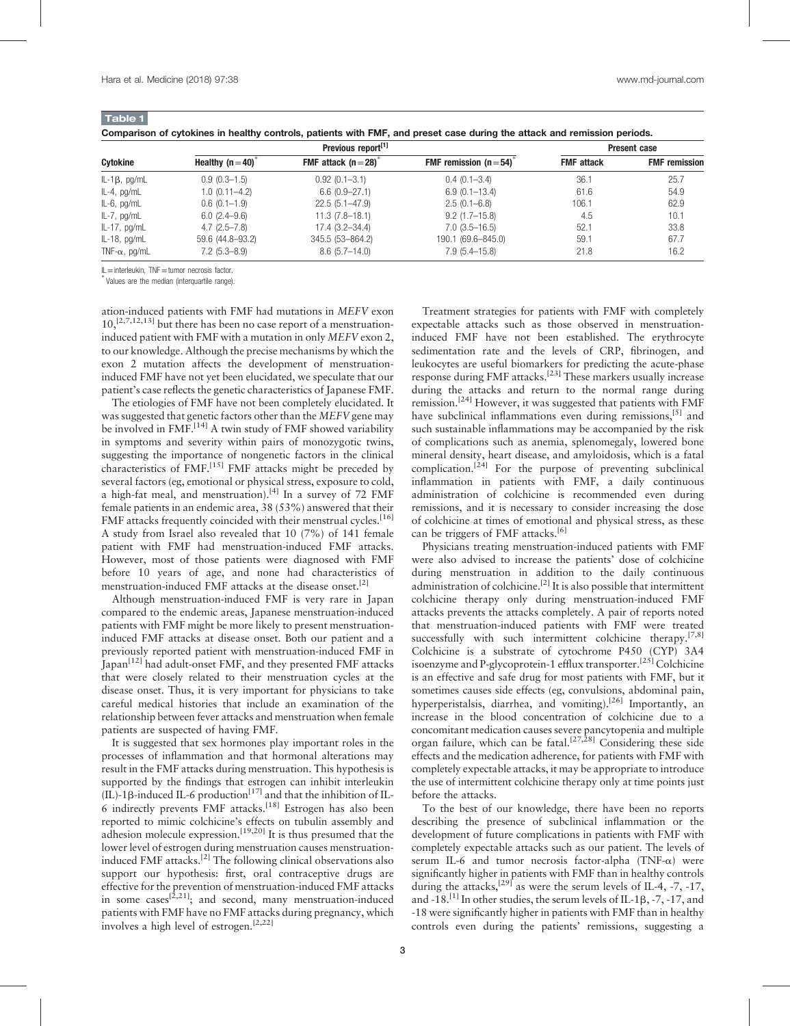Table 1

| Companson or cytoxines in neariny controls, patients with Fivir, and preset case during the attack and remission periods. |                   |                     |                        |                   |                      |  |  |  |  |  |
|---------------------------------------------------------------------------------------------------------------------------|-------------------|---------------------|------------------------|-------------------|----------------------|--|--|--|--|--|
| Cytokine                                                                                                                  |                   | <b>Present case</b> |                        |                   |                      |  |  |  |  |  |
|                                                                                                                           | Healthy $(n=40)$  | FMF attack $(n=28)$ | FMF remission $(n=54)$ | <b>FMF</b> attack | <b>FMF</b> remission |  |  |  |  |  |
| $IL-1\beta$ , pg/mL                                                                                                       | $0.9(0.3-1.5)$    | $0.92(0.1 - 3.1)$   | $0.4(0.1 - 3.4)$       | 36.1              | 25.7                 |  |  |  |  |  |
| $IL-4$ , pg/mL                                                                                                            | $1.0(0.11 - 4.2)$ | $6.6(0.9-27.1)$     | $6.9(0.1 - 13.4)$      | 61.6              | 54.9                 |  |  |  |  |  |
| $IL-6$ , pg/mL                                                                                                            | $0.6(0.1-1.9)$    | $22.5(5.1 - 47.9)$  | $2.5(0.1 - 6.8)$       | 106.1             | 62.9                 |  |  |  |  |  |
| $IL-7$ , pg/mL                                                                                                            | $6.0(2.4-9.6)$    | $11.3(7.8-18.1)$    | $9.2(1.7-15.8)$        | 4.5               | 10.1                 |  |  |  |  |  |
| $IL-17$ , pg/mL                                                                                                           | $4.7(2.5 - 7.8)$  | $17.4(3.2 - 34.4)$  | $7.0(3.5-16.5)$        | 52.1              | 33.8                 |  |  |  |  |  |
| $IL-18$ , pg/mL                                                                                                           | 59.6 (44.8-93.2)  | 345.5 (53-864.2)    | 190.1 (69.6-845.0)     | 59.1              | 67.7                 |  |  |  |  |  |
| TNF- $\alpha$ , pg/mL                                                                                                     | $7.2(5.3 - 8.9)$  | $8.6(5.7-14.0)$     | $7.9(5.4 - 15.8)$      | 21.8              | 16.2                 |  |  |  |  |  |

| Comparison of cytokines in healthy controls, patients with FMF, and preset case during the attack and remission periods. |  |  |  |  |  |  |
|--------------------------------------------------------------------------------------------------------------------------|--|--|--|--|--|--|
|                                                                                                                          |  |  |  |  |  |  |

IL=interleukin, TNF=tumor necrosis factor. <sup>∗</sup>

Values are the median (interquartile range).

ation-induced patients with FMF had mutations in MEFV exon  $10,$ <sup>[2,7,12,13]</sup> but there has been no case report of a menstruationinduced patient with FMF with a mutation in only MEFV exon 2, to our knowledge. Although the precise mechanisms by which the exon 2 mutation affects the development of menstruationinduced FMF have not yet been elucidated, we speculate that our patient's case reflects the genetic characteristics of Japanese FMF.

The etiologies of FMF have not been completely elucidated. It was suggested that genetic factors other than the MEFV gene may be involved in FMF.<sup>[14]</sup> A twin study of FMF showed variability in symptoms and severity within pairs of monozygotic twins, suggesting the importance of nongenetic factors in the clinical characteristics of FMF.<sup>[15]</sup> FMF attacks might be preceded by several factors (eg, emotional or physical stress, exposure to cold, a high-fat meal, and menstruation).<sup>[4]</sup> In a survey of  $72$  FMF female patients in an endemic area, 38 (53%) answered that their FMF attacks frequently coincided with their menstrual cycles.<sup>[16]</sup> A study from Israel also revealed that 10 (7%) of 141 female patient with FMF had menstruation-induced FMF attacks. However, most of those patients were diagnosed with FMF before 10 years of age, and none had characteristics of menstruation-induced FMF attacks at the disease onset.<sup>[2]</sup>

Although menstruation-induced FMF is very rare in Japan compared to the endemic areas, Japanese menstruation-induced patients with FMF might be more likely to present menstruationinduced FMF attacks at disease onset. Both our patient and a previously reported patient with menstruation-induced FMF in Japan[12] had adult-onset FMF, and they presented FMF attacks that were closely related to their menstruation cycles at the disease onset. Thus, it is very important for physicians to take careful medical histories that include an examination of the relationship between fever attacks and menstruation when female patients are suspected of having FMF.

It is suggested that sex hormones play important roles in the processes of inflammation and that hormonal alterations may result in the FMF attacks during menstruation. This hypothesis is supported by the findings that estrogen can inhibit interleukin  $(III)$ -1 $\beta$ -induced IL-6 production<sup>[17]</sup> and that the inhibition of IL-6 indirectly prevents  $FMF$  attacks.<sup>[18]</sup> Estrogen has also been reported to mimic colchicine's effects on tubulin assembly and adhesion molecule expression.<sup>[19,20]</sup> It is thus presumed that the lower level of estrogen during menstruation causes menstruationinduced FMF attacks.[2] The following clinical observations also support our hypothesis: first, oral contraceptive drugs are effective for the prevention of menstruation-induced FMF attacks in some cases<sup>[2,21]</sup>; and second, many menstruation-induced patients with FMF have no FMF attacks during pregnancy, which involves a high level of estrogen.[2,22]

Treatment strategies for patients with FMF with completely expectable attacks such as those observed in menstruationinduced FMF have not been established. The erythrocyte sedimentation rate and the levels of CRP, fibrinogen, and leukocytes are useful biomarkers for predicting the acute-phase response during FMF attacks.[23] These markers usually increase during the attacks and return to the normal range during remission.<sup>[24]</sup> However, it was suggested that patients with FMF have subclinical inflammations even during remissions.<sup>[5]</sup> and such sustainable inflammations may be accompanied by the risk of complications such as anemia, splenomegaly, lowered bone mineral density, heart disease, and amyloidosis, which is a fatal complication.<sup>[24]</sup> For the purpose of preventing subclinical inflammation in patients with FMF, a daily continuous administration of colchicine is recommended even during remissions, and it is necessary to consider increasing the dose of colchicine at times of emotional and physical stress, as these can be triggers of FMF attacks.<sup>[6]</sup>

Physicians treating menstruation-induced patients with FMF were also advised to increase the patients' dose of colchicine during menstruation in addition to the daily continuous administration of colchicine.<sup>[2]</sup> It is also possible that intermittent colchicine therapy only during menstruation-induced FMF attacks prevents the attacks completely. A pair of reports noted that menstruation-induced patients with FMF were treated successfully with such intermittent colchicine therapy.<sup>[7,8]</sup> Colchicine is a substrate of cytochrome P450 (CYP) 3A4 isoenzyme and P-glycoprotein-1 efflux transporter.<sup>[25]</sup> Colchicine is an effective and safe drug for most patients with FMF, but it sometimes causes side effects (eg, convulsions, abdominal pain, hyperperistalsis, diarrhea, and vomiting).<sup>[26]</sup> Importantly, an increase in the blood concentration of colchicine due to a concomitant medication causes severe pancytopenia and multiple organ failure, which can be fatal.<sup>[27,28]</sup> Considering these side effects and the medication adherence, for patients with FMF with completely expectable attacks, it may be appropriate to introduce the use of intermittent colchicine therapy only at time points just before the attacks.

To the best of our knowledge, there have been no reports describing the presence of subclinical inflammation or the development of future complications in patients with FMF with completely expectable attacks such as our patient. The levels of serum IL-6 and tumor necrosis factor-alpha (TNF- $\alpha$ ) were significantly higher in patients with FMF than in healthy controls during the attacks, $^{[29]}$  as were the serum levels of IL-4, -7, -17, and  $-18$ .<sup>[1]</sup> In other studies, the serum levels of IL-1 $\beta$ , -7, -17, and -18 were significantly higher in patients with FMF than in healthy controls even during the patients' remissions, suggesting a